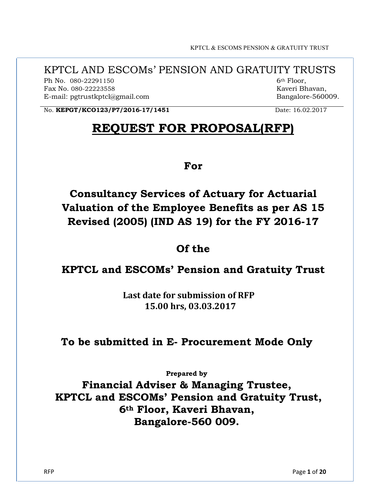KPTCL & ESCOMS PENSION & GRATUITY TRUST

# KPTCL AND ESCOMs' PENSION AND GRATUITY TRUSTS

Ph No. 080-22291150 Fax No. 080-22223558 E-mail: pgtrustkptcl@gmail.com  6th Floor, Kaveri Bhavan, Bangalore-560009.

No. **KEPGT/KCO123/P7/2016-17/1451** Date: 16.02.2017

# REQUEST FOR PROPOSAL(RFP)

For

Consultancy Services of Actuary for Actuarial Valuation of the Employee Benefits as per AS 15 Revised (2005) (IND AS 19) for the FY 2016-17

# Of the

# KPTCL and ESCOMs' Pension and Gratuity Trust

 Last date for submission of RFP 15.00 hrs, 03.03.2017

# To be submitted in E- Procurement Mode Only

Prepared by

Financial Adviser & Managing Trustee, KPTCL and ESCOMs' Pension and Gratuity Trust, 6th Floor, Kaveri Bhavan, Bangalore-560 009.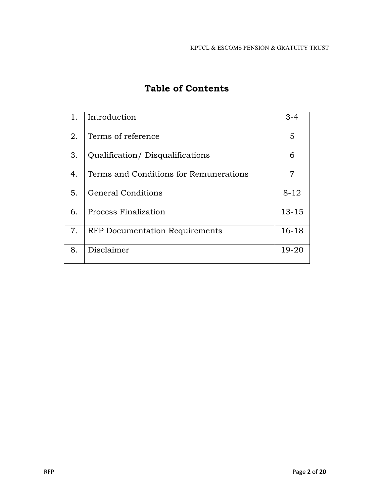| 1. | Introduction                           | $3 - 4$   |
|----|----------------------------------------|-----------|
| 2. | Terms of reference                     | 5         |
| 3. | Qualification/Disqualifications        | 6         |
| 4. | Terms and Conditions for Remunerations | 7         |
| 5. | <b>General Conditions</b>              | $8 - 12$  |
| 6. | <b>Process Finalization</b>            | $13 - 15$ |
| 7. | <b>RFP</b> Documentation Requirements  | $16 - 18$ |
| 8. | Disclaimer                             | 19-20     |

# Table of Contents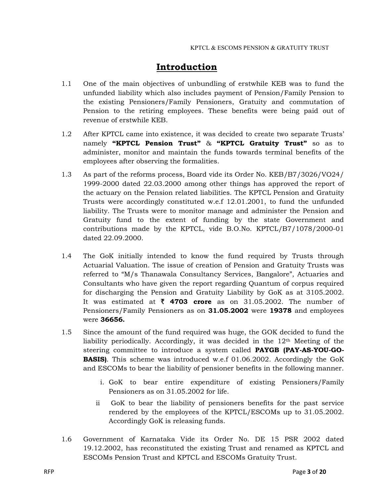# Introduction

- 1.1 One of the main objectives of unbundling of erstwhile KEB was to fund the unfunded liability which also includes payment of Pension/Family Pension to the existing Pensioners/Family Pensioners, Gratuity and commutation of Pension to the retiring employees. These benefits were being paid out of revenue of erstwhile KEB.
- 1.2 After KPTCL came into existence, it was decided to create two separate Trusts' namely "KPTCL Pension Trust"  $\&$  "KPTCL Gratuity Trust" so as to administer, monitor and maintain the funds towards terminal benefits of the employees after observing the formalities.
- 1.3 As part of the reforms process, Board vide its Order No. KEB/B7/3026/VO24/ 1999-2000 dated 22.03.2000 among other things has approved the report of the actuary on the Pension related liabilities. The KPTCL Pension and Gratuity Trusts were accordingly constituted w.e.f 12.01.2001, to fund the unfunded liability. The Trusts were to monitor manage and administer the Pension and Gratuity fund to the extent of funding by the state Government and contributions made by the KPTCL, vide B.O.No. KPTCL/B7/1078/2000-01 dated 22.09.2000.
- 1.4 The GoK initially intended to know the fund required by Trusts through Actuarial Valuation. The issue of creation of Pension and Gratuity Trusts was referred to "M/s Thanawala Consultancy Services, Bangalore", Actuaries and Consultants who have given the report regarding Quantum of corpus required for discharging the Pension and Gratuity Liability by GoK as at 3105.2002. It was estimated at  $\bar{\xi}$  4703 crore as on 31.05.2002. The number of Pensioners/Family Pensioners as on 31.05.2002 were 19378 and employees were 36656.
- 1.5 Since the amount of the fund required was huge, the GOK decided to fund the liability periodically. Accordingly, it was decided in the 12th Meeting of the steering committee to introduce a system called **PAYGB (PAY-AS-YOU-GO-BASIS)**. This scheme was introduced w.e.f 01.06.2002. Accordingly the GoK and ESCOMs to bear the liability of pensioner benefits in the following manner.
	- i. GoK to bear entire expenditure of existing Pensioners/Family Pensioners as on 31.05.2002 for life.
	- ii GoK to bear the liability of pensioners benefits for the past service rendered by the employees of the KPTCL/ESCOMs up to 31.05.2002. Accordingly GoK is releasing funds.
- 1.6 Government of Karnataka Vide its Order No. DE 15 PSR 2002 dated 19.12.2002, has reconstituted the existing Trust and renamed as KPTCL and ESCOMs Pension Trust and KPTCL and ESCOMs Gratuity Trust.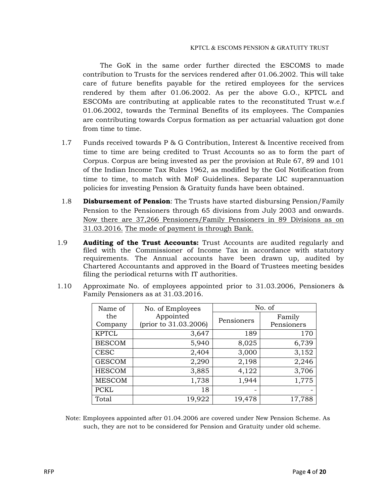The GoK in the same order further directed the ESCOMS to made contribution to Trusts for the services rendered after 01.06.2002. This will take care of future benefits payable for the retired employees for the services rendered by them after 01.06.2002. As per the above G.O., KPTCL and ESCOMs are contributing at applicable rates to the reconstituted Trust w.e.f 01.06.2002, towards the Terminal Benefits of its employees. The Companies are contributing towards Corpus formation as per actuarial valuation got done from time to time.

- 1.7 Funds received towards P & G Contribution, Interest & Incentive received from time to time are being credited to Trust Accounts so as to form the part of Corpus. Corpus are being invested as per the provision at Rule 67, 89 and 101 of the Indian Income Tax Rules 1962, as modified by the GoI Notification from time to time, to match with MoF Guidelines. Separate LIC superannuation policies for investing Pension & Gratuity funds have been obtained.
- 1.8 **Disbursement of Pension**: The Trusts have started disbursing Pension/Family Pension to the Pensioners through 65 divisions from July 2003 and onwards. Now there are 37,266 Pensioners/Family Pensioners in 89 Divisions as on 31.03.2016. The mode of payment is through Bank.
- 1.9 **Auditing of the Trust Accounts:** Trust Accounts are audited regularly and filed with the Commissioner of Income Tax in accordance with statutory requirements. The Annual accounts have been drawn up, audited by Chartered Accountants and approved in the Board of Trustees meeting besides filing the periodical returns with IT authorities.
- 1.10 Approximate No. of employees appointed prior to 31.03.2006, Pensioners & Family Pensioners as at 31.03.2016.

| Name of       | No. of Employees                   | No. of     |            |
|---------------|------------------------------------|------------|------------|
| the           | Appointed<br>(prior to 31.03.2006) | Pensioners | Family     |
| Company       |                                    |            | Pensioners |
| <b>KPTCL</b>  | 3,647                              | 189        | 170        |
| <b>BESCOM</b> | 5,940                              | 8,025      | 6,739      |
| <b>CESC</b>   | 2,404                              | 3,000      | 3,152      |
| <b>GESCOM</b> | 2,290                              | 2,198      | 2,246      |
| <b>HESCOM</b> | 3,885                              | 4,122      | 3,706      |
| <b>MESCOM</b> | 1,738                              | 1,944      | 1,775      |
| <b>PCKL</b>   | 18                                 | -          |            |
| Total         | 19,922                             | 19,478     | 17,788     |

Note: Employees appointed after 01.04.2006 are covered under New Pension Scheme. As such, they are not to be considered for Pension and Gratuity under old scheme.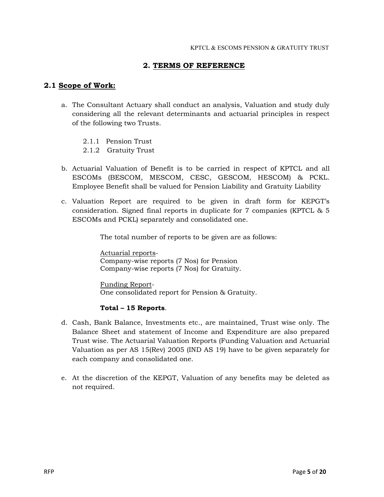### 2. TERMS OF REFERENCE

### 2.1 Scope of Work:

- a. The Consultant Actuary shall conduct an analysis, Valuation and study duly considering all the relevant determinants and actuarial principles in respect of the following two Trusts.
	- 2.1.1 Pension Trust
	- 2.1.2 Gratuity Trust
- b. Actuarial Valuation of Benefit is to be carried in respect of KPTCL and all ESCOMs (BESCOM, MESCOM, CESC, GESCOM, HESCOM) & PCKL. Employee Benefit shall be valued for Pension Liability and Gratuity Liability
- c. Valuation Report are required to be given in draft form for KEPGT's consideration. Signed final reports in duplicate for 7 companies (KPTCL & 5 ESCOMs and PCKL) separately and consolidated one.

The total number of reports to be given are as follows:

Actuarial reports-Company-wise reports (7 Nos) for Pension Company-wise reports (7 Nos) for Gratuity.

Funding Report-One consolidated report for Pension & Gratuity.

#### Total – 15 Reports.

- d. Cash, Bank Balance, Investments etc., are maintained, Trust wise only. The Balance Sheet and statement of Income and Expenditure are also prepared Trust wise. The Actuarial Valuation Reports (Funding Valuation and Actuarial Valuation as per AS 15(Rev) 2005 (IND AS 19) have to be given separately for each company and consolidated one.
- e. At the discretion of the KEPGT, Valuation of any benefits may be deleted as not required.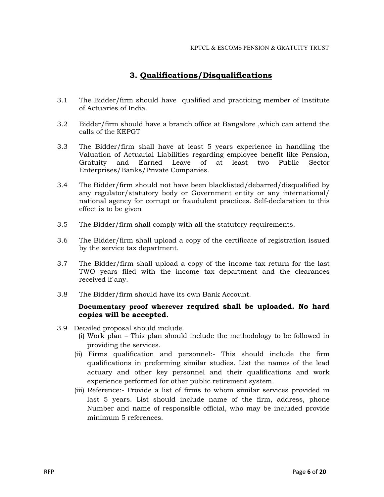## 3. Qualifications/Disqualifications

- 3.1 The Bidder/firm should have qualified and practicing member of Institute of Actuaries of India.
- 3.2 Bidder/firm should have a branch office at Bangalore ,which can attend the calls of the KEPGT
- 3.3 The Bidder/firm shall have at least 5 years experience in handling the Valuation of Actuarial Liabilities regarding employee benefit like Pension, Gratuity and Earned Leave of at least two Public Sector Enterprises/Banks/Private Companies.
- 3.4 The Bidder/firm should not have been blacklisted/debarred/disqualified by any regulator/statutory body or Government entity or any international/ national agency for corrupt or fraudulent practices. Self-declaration to this effect is to be given
- 3.5 The Bidder/firm shall comply with all the statutory requirements.
- 3.6 The Bidder/firm shall upload a copy of the certificate of registration issued by the service tax department.
- 3.7 The Bidder/firm shall upload a copy of the income tax return for the last TWO years filed with the income tax department and the clearances received if any.
- 3.8 The Bidder/firm should have its own Bank Account.

### Documentary proof wherever required shall be uploaded. No hard copies will be accepted.

- 3.9 Detailed proposal should include.
	- (i) Work plan This plan should include the methodology to be followed in providing the services.
	- (ii) Firms qualification and personnel:- This should include the firm qualifications in preforming similar studies. List the names of the lead actuary and other key personnel and their qualifications and work experience performed for other public retirement system.
	- (iii) Reference:- Provide a list of firms to whom similar services provided in last 5 years. List should include name of the firm, address, phone Number and name of responsible official, who may be included provide minimum 5 references.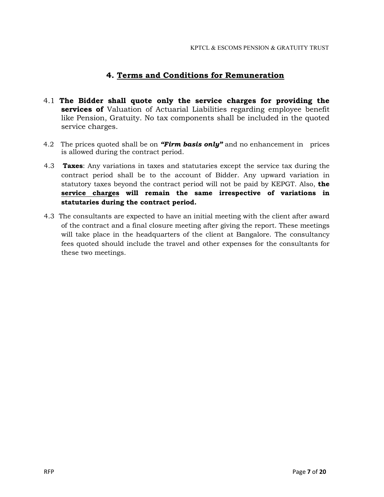### 4. Terms and Conditions for Remuneration

- 4.1 The Bidder shall quote only the service charges for providing the services of Valuation of Actuarial Liabilities regarding employee benefit like Pension, Gratuity. No tax components shall be included in the quoted service charges.
- 4.2 The prices quoted shall be on *"Firm basis only"* and no enhancement in prices is allowed during the contract period.
- 4.3 **Taxes:** Any variations in taxes and statutaries except the service tax during the contract period shall be to the account of Bidder. Any upward variation in statutory taxes beyond the contract period will not be paid by KEPGT. Also, the service charges will remain the same irrespective of variations in statutaries during the contract period.
- 4.3 The consultants are expected to have an initial meeting with the client after award of the contract and a final closure meeting after giving the report. These meetings will take place in the headquarters of the client at Bangalore. The consultancy fees quoted should include the travel and other expenses for the consultants for these two meetings.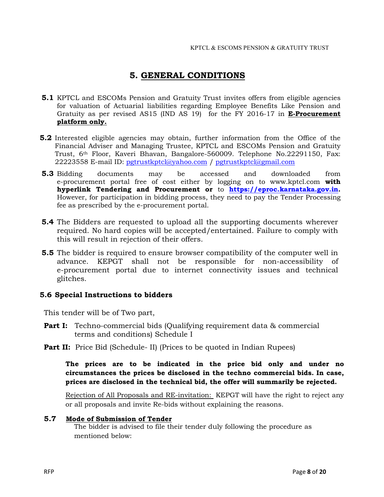## 5. GENERAL CONDITIONS

- **5.1** KPTCL and ESCOMs Pension and Gratuity Trust invites offers from eligible agencies for valuation of Actuarial liabilities regarding Employee Benefits Like Pension and Gratuity as per revised AS15 (IND AS 19) for the FY 2016-17 in E-Procurement platform only.
- 5.2 Interested eligible agencies may obtain, further information from the Office of the Financial Adviser and [Managing Trustee, KPTCL](mailto:pgtrustkptcl@yahoo.com) and ESCOMs Pension and Gratuity Trust, 6th Floor, Kaveri Bhavan, Bangalore-560009. Telephone No.22291150, Fax: 22223558 E-mail ID: pgtrustkptcl@yahoo.com / pgtrustkptcl@gmail.com
- 5.3 Bidding documents may be accessed and downloaded from e-procurement portal free of cost either by logging on to www.kptcl.com with hyperlink Tendering and Procurement or to https://eproc.karnataka.gov.in. However, for participation in bidding process, they need to pay the Tender Processing fee as prescribed by the e-procurement portal.
- 5.4 The Bidders are requested to upload all the supporting documents wherever required. No hard copies will be accepted/entertained. Failure to comply with this will result in rejection of their offers.
- 5.5 The bidder is required to ensure browser compatibility of the computer well in advance. KEPGT shall not be responsible for non-accessibility of e-procurement portal due to internet connectivity issues and technical glitches.

#### 5.6 Special Instructions to bidders

This tender will be of Two part,

- **Part I:** Techno-commercial bids (Qualifying requirement data & commercial terms and conditions) Schedule I
- **Part II:** Price Bid (Schedule- II) (Prices to be quoted in Indian Rupees)

The prices are to be indicated in the price bid only and under no circumstances the prices be disclosed in the techno commercial bids. In case, prices are disclosed in the technical bid, the offer will summarily be rejected.

Rejection of All Proposals and RE-invitation: KEPGT will have the right to reject any or all proposals and invite Re-bids without explaining the reasons.

#### 5.7 Mode of Submission of Tender

The bidder is advised to file their tender duly following the procedure as mentioned below: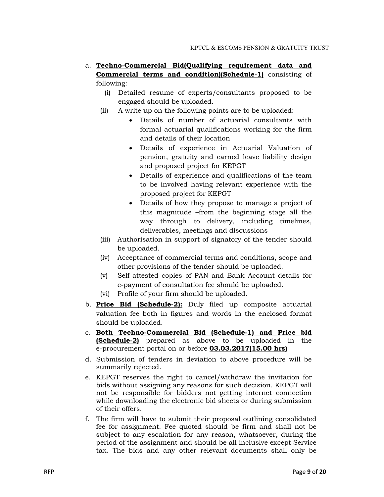- a. Techno-Commercial Bid(Qualifying requirement data and Commercial terms and condition)(Schedule-1) consisting of following:
	- (i) Detailed resume of experts/consultants proposed to be engaged should be uploaded.
	- (ii) A write up on the following points are to be uploaded:
		- Details of number of actuarial consultants with formal actuarial qualifications working for the firm and details of their location
		- Details of experience in Actuarial Valuation of pension, gratuity and earned leave liability design and proposed project for KEPGT
		- Details of experience and qualifications of the team to be involved having relevant experience with the proposed project for KEPGT
		- Details of how they propose to manage a project of this magnitude –from the beginning stage all the way through to delivery, including timelines, deliverables, meetings and discussions
	- (iii) Authorisation in support of signatory of the tender should be uploaded.
	- (iv) Acceptance of commercial terms and conditions, scope and other provisions of the tender should be uploaded.
	- (v) Self-attested copies of PAN and Bank Account details for e-payment of consultation fee should be uploaded.
	- (vi) Profile of your firm should be uploaded.
- b. **Price Bid (Schedule-2):** Duly filed up composite actuarial valuation fee both in figures and words in the enclosed format should be uploaded.
- c. Both Techno-Commercial Bid (Schedule-1) and Price bid (Schedule-2) prepared as above to be uploaded in the e-procurement portal on or before **03.03.2017(15.00 hrs)**
- d. Submission of tenders in deviation to above procedure will be summarily rejected.
- e. KEPGT reserves the right to cancel/withdraw the invitation for bids without assigning any reasons for such decision. KEPGT will not be responsible for bidders not getting internet connection while downloading the electronic bid sheets or during submission of their offers.
- f. The firm will have to submit their proposal outlining consolidated fee for assignment. Fee quoted should be firm and shall not be subject to any escalation for any reason, whatsoever, during the period of the assignment and should be all inclusive except Service tax. The bids and any other relevant documents shall only be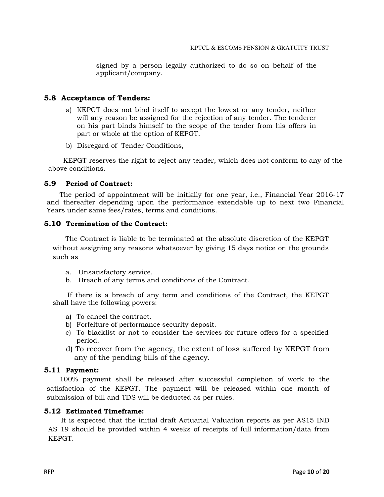signed by a person legally authorized to do so on behalf of the applicant/company.

#### 5.8 Acceptance of Tenders:

- a) KEPGT does not bind itself to accept the lowest or any tender, neither will any reason be assigned for the rejection of any tender. The tenderer on his part binds himself to the scope of the tender from his offers in part or whole at the option of KEPGT.
- b) Disregard of Tender Conditions,

 KEPGT reserves the right to reject any tender, which does not conform to any of the above conditions.

#### 5.9 Period of Contract:

 The period of appointment will be initially for one year, i.e., Financial Year 2016-17 and thereafter depending upon the performance extendable up to next two Financial Years under same fees/rates, terms and conditions.

#### 5.10 Termination of the Contract:

 The Contract is liable to be terminated at the absolute discretion of the KEPGT without assigning any reasons whatsoever by giving 15 days notice on the grounds such as

- a. Unsatisfactory service.
- b. Breach of any terms and conditions of the Contract.

 If there is a breach of any term and conditions of the Contract, the KEPGT shall have the following powers:

- a) To cancel the contract.
- b) Forfeiture of performance security deposit.
- c) To blacklist or not to consider the services for future offers for a specified period.
- d) To recover from the agency, the extent of loss suffered by KEPGT from any of the pending bills of the agency.

#### 5.11 Payment:

 100% payment shall be released after successful completion of work to the satisfaction of the KEPGT. The payment will be released within one month of submission of bill and TDS will be deducted as per rules.

#### 5.12 Estimated Timeframe:

 It is expected that the initial draft Actuarial Valuation reports as per AS15 IND AS 19 should be provided within 4 weeks of receipts of full information/data from KEPGT.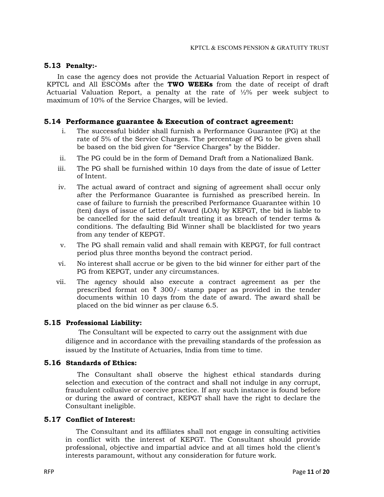#### 5.13 Penalty:-

 In case the agency does not provide the Actuarial Valuation Report in respect of KPTCL and All ESCOMs after the TWO WEEKs from the date of receipt of draft Actuarial Valuation Report, a penalty at the rate of ½% per week subject to maximum of 10% of the Service Charges, will be levied.

#### 5.14 Performance guarantee & Execution of contract agreement:

- i. The successful bidder shall furnish a Performance Guarantee (PG) at the rate of 5% of the Service Charges. The percentage of PG to be given shall be based on the bid given for "Service Charges" by the Bidder.
- ii. The PG could be in the form of Demand Draft from a Nationalized Bank.
- iii. The PG shall be furnished within 10 days from the date of issue of Letter of Intent.
- iv. The actual award of contract and signing of agreement shall occur only after the Performance Guarantee is furnished as prescribed herein. In case of failure to furnish the prescribed Performance Guarantee within 10 (ten) days of issue of Letter of Award (LOA) by KEPGT, the bid is liable to be cancelled for the said default treating it as breach of tender terms & conditions. The defaulting Bid Winner shall be blacklisted for two years from any tender of KEPGT.
- v. The PG shall remain valid and shall remain with KEPGT, for full contract period plus three months beyond the contract period.
- vi. No interest shall accrue or be given to the bid winner for either part of the PG from KEPGT, under any circumstances.
- vii. The agency should also execute a contract agreement as per the prescribed format on  $\bar{\tau}$  300/- stamp paper as provided in the tender documents within 10 days from the date of award. The award shall be placed on the bid winner as per clause 6.5.

#### 5.15 Professional Liability:

 The Consultant will be expected to carry out the assignment with due diligence and in accordance with the prevailing standards of the profession as issued by the Institute of Actuaries, India from time to time.

#### 5.16 Standards of Ethics:

 The Consultant shall observe the highest ethical standards during selection and execution of the contract and shall not indulge in any corrupt, fraudulent collusive or coercive practice. If any such instance is found before or during the award of contract, KEPGT shall have the right to declare the Consultant ineligible.

#### 5.17 Conflict of Interest:

 The Consultant and its affiliates shall not engage in consulting activities in conflict with the interest of KEPGT. The Consultant should provide professional, objective and impartial advice and at all times hold the client's interests paramount, without any consideration for future work.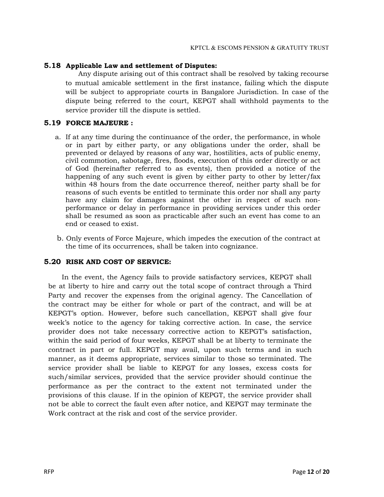#### 5.18 Applicable Law and settlement of Disputes:

 Any dispute arising out of this contract shall be resolved by taking recourse to mutual amicable settlement in the first instance, failing which the dispute will be subject to appropriate courts in Bangalore Jurisdiction. In case of the dispute being referred to the court, KEPGT shall withhold payments to the service provider till the dispute is settled.

#### 5.19 FORCE MAJEURE :

- a. If at any time during the continuance of the order, the performance, in whole or in part by either party, or any obligations under the order, shall be prevented or delayed by reasons of any war, hostilities, acts of public enemy, civil commotion, sabotage, fires, floods, execution of this order directly or act of God (hereinafter referred to as events), then provided a notice of the happening of any such event is given by either party to other by letter/fax within 48 hours from the date occurrence thereof, neither party shall be for reasons of such events be entitled to terminate this order nor shall any party have any claim for damages against the other in respect of such nonperformance or delay in performance in providing services under this order shall be resumed as soon as practicable after such an event has come to an end or ceased to exist.
- b. Only events of Force Majeure, which impedes the execution of the contract at the time of its occurrences, shall be taken into cognizance.

#### 5.20 RISK AND COST OF SERVICE:

 In the event, the Agency fails to provide satisfactory services, KEPGT shall be at liberty to hire and carry out the total scope of contract through a Third Party and recover the expenses from the original agency. The Cancellation of the contract may be either for whole or part of the contract, and will be at KEPGT's option. However, before such cancellation, KEPGT shall give four week's notice to the agency for taking corrective action. In case, the service provider does not take necessary corrective action to KEPGT's satisfaction, within the said period of four weeks, KEPGT shall be at liberty to terminate the contract in part or full. KEPGT may avail, upon such terms and in such manner, as it deems appropriate, services similar to those so terminated. The service provider shall be liable to KEPGT for any losses, excess costs for such/similar services, provided that the service provider should continue the performance as per the contract to the extent not terminated under the provisions of this clause. If in the opinion of KEPGT, the service provider shall not be able to correct the fault even after notice, and KEPGT may terminate the Work contract at the risk and cost of the service provider.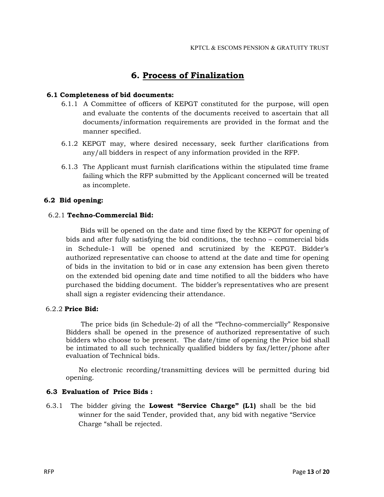## 6. Process of Finalization

#### 6.1 Completeness of bid documents:

- 6.1.1 A Committee of officers of KEPGT constituted for the purpose, will open and evaluate the contents of the documents received to ascertain that all documents/information requirements are provided in the format and the manner specified.
- 6.1.2 KEPGT may, where desired necessary, seek further clarifications from any/all bidders in respect of any information provided in the RFP.
- 6.1.3 The Applicant must furnish clarifications within the stipulated time frame failing which the RFP submitted by the Applicant concerned will be treated as incomplete.

#### 6.2 Bid opening:

#### 6.2.1 Techno-Commercial Bid:

 Bids will be opened on the date and time fixed by the KEPGT for opening of bids and after fully satisfying the bid conditions, the techno – commercial bids in Schedule-1 will be opened and scrutinized by the KEPGT. Bidder's authorized representative can choose to attend at the date and time for opening of bids in the invitation to bid or in case any extension has been given thereto on the extended bid opening date and time notified to all the bidders who have purchased the bidding document. The bidder's representatives who are present shall sign a register evidencing their attendance.

#### 6.2.2 Price Bid:

 The price bids (in Schedule-2) of all the "Techno-commercially" Responsive Bidders shall be opened in the presence of authorized representative of such bidders who choose to be present. The date/time of opening the Price bid shall be intimated to all such technically qualified bidders by fax/letter/phone after evaluation of Technical bids.

 No electronic recording/transmitting devices will be permitted during bid opening.

#### 6.3 Evaluation of Price Bids :

6.3.1 The bidder giving the **Lowest "Service Charge" (L1)** shall be the bid winner for the said Tender, provided that, any bid with negative "Service Charge "shall be rejected.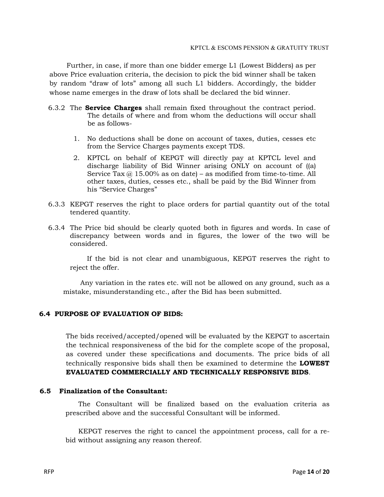Further, in case, if more than one bidder emerge L1 (Lowest Bidders) as per above Price evaluation criteria, the decision to pick the bid winner shall be taken by random "draw of lots" among all such L1 bidders. Accordingly, the bidder whose name emerges in the draw of lots shall be declared the bid winner.

- 6.3.2 The **Service Charges** shall remain fixed throughout the contract period. The details of where and from whom the deductions will occur shall be as follows-
	- 1. No deductions shall be done on account of taxes, duties, cesses etc from the Service Charges payments except TDS.
	- 2. KPTCL on behalf of KEPGT will directly pay at KPTCL level and discharge liability of Bid Winner arising ONLY on account of ((a) Service Tax  $@15.00\%$  as on date) – as modified from time-to-time. All other taxes, duties, cesses etc., shall be paid by the Bid Winner from his "Service Charges"
- 6.3.3 KEPGT reserves the right to place orders for partial quantity out of the total tendered quantity.
- 6.3.4 The Price bid should be clearly quoted both in figures and words. In case of discrepancy between words and in figures, the lower of the two will be considered.

 If the bid is not clear and unambiguous, KEPGT reserves the right to reject the offer.

 Any variation in the rates etc. will not be allowed on any ground, such as a mistake, misunderstanding etc., after the Bid has been submitted.

### 6.4 PURPOSE OF EVALUATION OF BIDS:

The bids received/accepted/opened will be evaluated by the KEPGT to ascertain the technical responsiveness of the bid for the complete scope of the proposal, as covered under these specifications and documents. The price bids of all technically responsive bids shall then be examined to determine the LOWEST EVALUATED COMMERCIALLY AND TECHNICALLY RESPONSIVE BIDS.

#### 6.5 Finalization of the Consultant:

 The Consultant will be finalized based on the evaluation criteria as prescribed above and the successful Consultant will be informed.

 KEPGT reserves the right to cancel the appointment process, call for a rebid without assigning any reason thereof.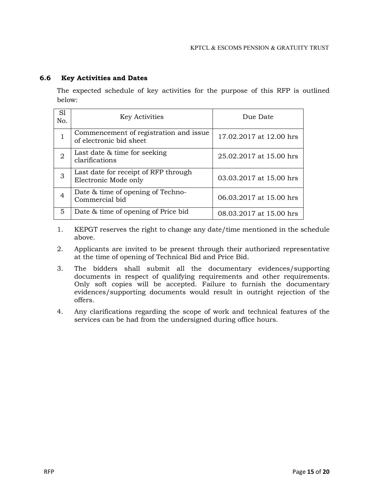### 6.6 Key Activities and Dates

The expected schedule of key activities for the purpose of this RFP is outlined below:

| S <sub>1</sub><br>No. | <b>Key Activities</b>                                             | Due Date                |
|-----------------------|-------------------------------------------------------------------|-------------------------|
|                       | Commencement of registration and issue<br>of electronic bid sheet | 17.02.2017 at 12.00 hrs |
| 2                     | Last date & time for seeking<br>clarifications                    | 25.02.2017 at 15.00 hrs |
| 3                     | Last date for receipt of RFP through<br>Electronic Mode only      | 03.03.2017 at 15.00 hrs |
| 4                     | Date & time of opening of Techno-<br>Commercial bid               | 06.03.2017 at 15.00 hrs |
| 5                     | Date & time of opening of Price bid                               | 08.03.2017 at 15.00 hrs |

- 1. KEPGT reserves the right to change any date/time mentioned in the schedule above.
- 2. Applicants are invited to be present through their authorized representative at the time of opening of Technical Bid and Price Bid.
- 3. The bidders shall submit all the documentary evidences/supporting documents in respect of qualifying requirements and other requirements. Only soft copies will be accepted. Failure to furnish the documentary evidences/supporting documents would result in outright rejection of the offers.
- 4. Any clarifications regarding the scope of work and technical features of the services can be had from the undersigned during office hours.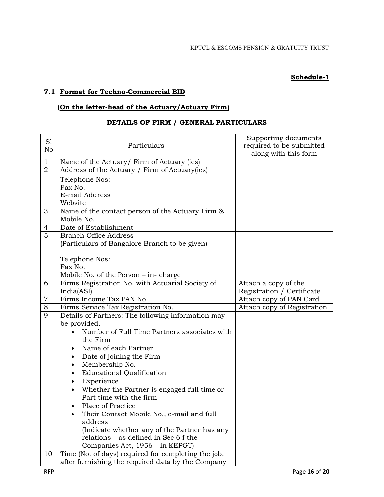### Schedule-1

### 7.1 Format for Techno-Commercial BID

### (On the letter-head of the Actuary/Actuary Firm)

### DETAILS OF FIRM / GENERAL PARTICULARS

| S1<br>No       | Particulars                                                                           | Supporting documents<br>required to be submitted<br>along with this form |
|----------------|---------------------------------------------------------------------------------------|--------------------------------------------------------------------------|
| 1              | Name of the Actuary/ Firm of Actuary (ies)                                            |                                                                          |
| $\overline{2}$ | Address of the Actuary / Firm of Actuary(ies)                                         |                                                                          |
|                | Telephone Nos:                                                                        |                                                                          |
|                | Fax No.                                                                               |                                                                          |
|                | E-mail Address                                                                        |                                                                          |
|                | Website                                                                               |                                                                          |
| 3              | Name of the contact person of the Actuary Firm &                                      |                                                                          |
|                | Mobile No.                                                                            |                                                                          |
| 4              | Date of Establishment                                                                 |                                                                          |
| 5              | <b>Branch Office Address</b>                                                          |                                                                          |
|                | (Particulars of Bangalore Branch to be given)                                         |                                                                          |
|                | Telephone Nos:                                                                        |                                                                          |
|                | Fax No.                                                                               |                                                                          |
|                | Mobile No. of the Person $-$ in-charge                                                |                                                                          |
| 6              | Firms Registration No. with Actuarial Society of                                      | Attach a copy of the                                                     |
|                | India(ASI)                                                                            | Registration / Certificate                                               |
| $\overline{7}$ | Firms Income Tax PAN No.                                                              | Attach copy of PAN Card                                                  |
| 8              | Firms Service Tax Registration No.                                                    | Attach copy of Registration                                              |
| 9              | Details of Partners: The following information may                                    |                                                                          |
|                | be provided.                                                                          |                                                                          |
|                | Number of Full Time Partners associates with                                          |                                                                          |
|                | the Firm                                                                              |                                                                          |
|                | Name of each Partner                                                                  |                                                                          |
|                | Date of joining the Firm<br>٠                                                         |                                                                          |
|                | Membership No.<br>٠                                                                   |                                                                          |
|                | <b>Educational Qualification</b><br>$\bullet$                                         |                                                                          |
|                | Experience<br>٠                                                                       |                                                                          |
|                | Whether the Partner is engaged full time or<br>$\bullet$                              |                                                                          |
|                | Part time with the firm                                                               |                                                                          |
|                | Place of Practice                                                                     |                                                                          |
|                | Their Contact Mobile No., e-mail and full                                             |                                                                          |
|                | address                                                                               |                                                                          |
|                | (Indicate whether any of the Partner has any<br>relations – as defined in Sec 6 f the |                                                                          |
|                | Companies Act, 1956 - in KEPGT)                                                       |                                                                          |
| 10             | Time (No. of days) required for completing the job,                                   |                                                                          |
|                | after furnishing the required data by the Company                                     |                                                                          |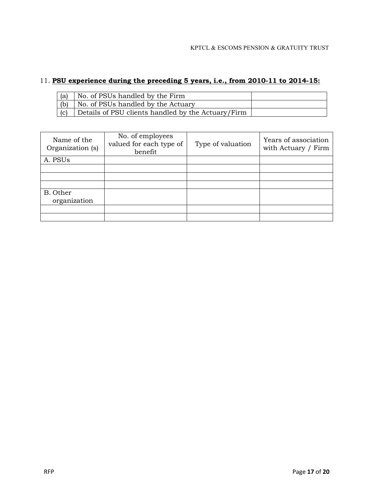## 11. PSU experience during the preceding 5 years, i.e., from 2010-11 to 2014-15:

| $\mathsf{I}$ (a) | No. of PSUs handled by the Firm                    |  |
|------------------|----------------------------------------------------|--|
| (b)              | No. of PSUs handled by the Actuary                 |  |
| (c)              | Details of PSU clients handled by the Actuary/Firm |  |

| Name of the<br>Organization (s) | No. of employees<br>valued for each type of<br>benefit | Type of valuation | Years of association<br>with Actuary / Firm |
|---------------------------------|--------------------------------------------------------|-------------------|---------------------------------------------|
| A. PSUs                         |                                                        |                   |                                             |
|                                 |                                                        |                   |                                             |
|                                 |                                                        |                   |                                             |
|                                 |                                                        |                   |                                             |
| B. Other                        |                                                        |                   |                                             |
| organization                    |                                                        |                   |                                             |
|                                 |                                                        |                   |                                             |
|                                 |                                                        |                   |                                             |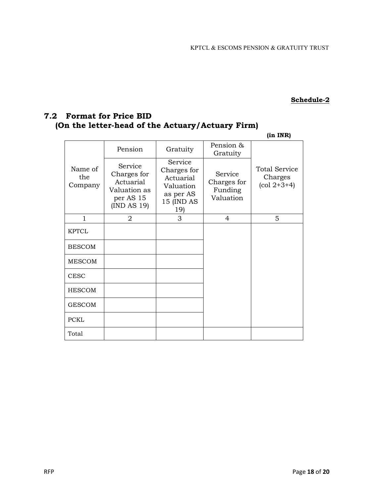#### Schedule-2

# 7.2 Format for Price BID (On the letter-head of the Actuary/Actuary Firm)

(in INR)

|                           | Pension                                                                         | Gratuity                                                                           | Pension &<br>Gratuity                          |                                                                     |
|---------------------------|---------------------------------------------------------------------------------|------------------------------------------------------------------------------------|------------------------------------------------|---------------------------------------------------------------------|
| Name of<br>the<br>Company | Service<br>Charges for<br>Actuarial<br>Valuation as<br>per AS 15<br>(IND AS 19) | Service<br>Charges for<br>Actuarial<br>Valuation<br>as per AS<br>15 (IND AS<br>19) | Service<br>Charges for<br>Funding<br>Valuation | <b>Total Service</b><br>Charges<br>$\left(\text{col } 2+3+4\right)$ |
| 1                         | 2                                                                               | 3                                                                                  | 4                                              | 5                                                                   |
| <b>KPTCL</b>              |                                                                                 |                                                                                    |                                                |                                                                     |
| <b>BESCOM</b>             |                                                                                 |                                                                                    |                                                |                                                                     |
| <b>MESCOM</b>             |                                                                                 |                                                                                    |                                                |                                                                     |
| <b>CESC</b>               |                                                                                 |                                                                                    |                                                |                                                                     |
| <b>HESCOM</b>             |                                                                                 |                                                                                    |                                                |                                                                     |
| <b>GESCOM</b>             |                                                                                 |                                                                                    |                                                |                                                                     |
| <b>PCKL</b>               |                                                                                 |                                                                                    |                                                |                                                                     |
| Total                     |                                                                                 |                                                                                    |                                                |                                                                     |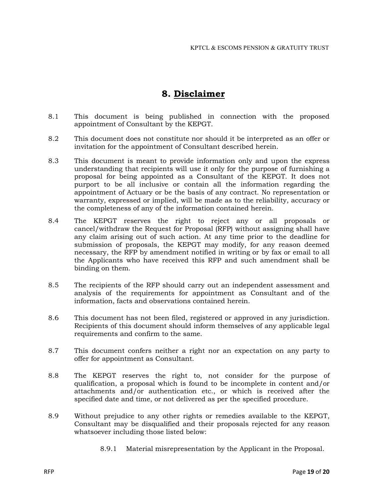# 8. Disclaimer

- 8.1 This document is being published in connection with the proposed appointment of Consultant by the KEPGT.
- 8.2 This document does not constitute nor should it be interpreted as an offer or invitation for the appointment of Consultant described herein.
- 8.3 This document is meant to provide information only and upon the express understanding that recipients will use it only for the purpose of furnishing a proposal for being appointed as a Consultant of the KEPGT. It does not purport to be all inclusive or contain all the information regarding the appointment of Actuary or be the basis of any contract. No representation or warranty, expressed or implied, will be made as to the reliability, accuracy or the completeness of any of the information contained herein.
- 8.4 The KEPGT reserves the right to reject any or all proposals or cancel/withdraw the Request for Proposal (RFP) without assigning shall have any claim arising out of such action. At any time prior to the deadline for submission of proposals, the KEPGT may modify, for any reason deemed necessary, the RFP by amendment notified in writing or by fax or email to all the Applicants who have received this RFP and such amendment shall be binding on them.
- 8.5 The recipients of the RFP should carry out an independent assessment and analysis of the requirements for appointment as Consultant and of the information, facts and observations contained herein.
- 8.6 This document has not been filed, registered or approved in any jurisdiction. Recipients of this document should inform themselves of any applicable legal requirements and confirm to the same.
- 8.7 This document confers neither a right nor an expectation on any party to offer for appointment as Consultant.
- 8.8 The KEPGT reserves the right to, not consider for the purpose of qualification, a proposal which is found to be incomplete in content and/or attachments and/or authentication etc., or which is received after the specified date and time, or not delivered as per the specified procedure.
- 8.9 Without prejudice to any other rights or remedies available to the KEPGT, Consultant may be disqualified and their proposals rejected for any reason whatsoever including those listed below:
	- 8.9.1 Material misrepresentation by the Applicant in the Proposal.